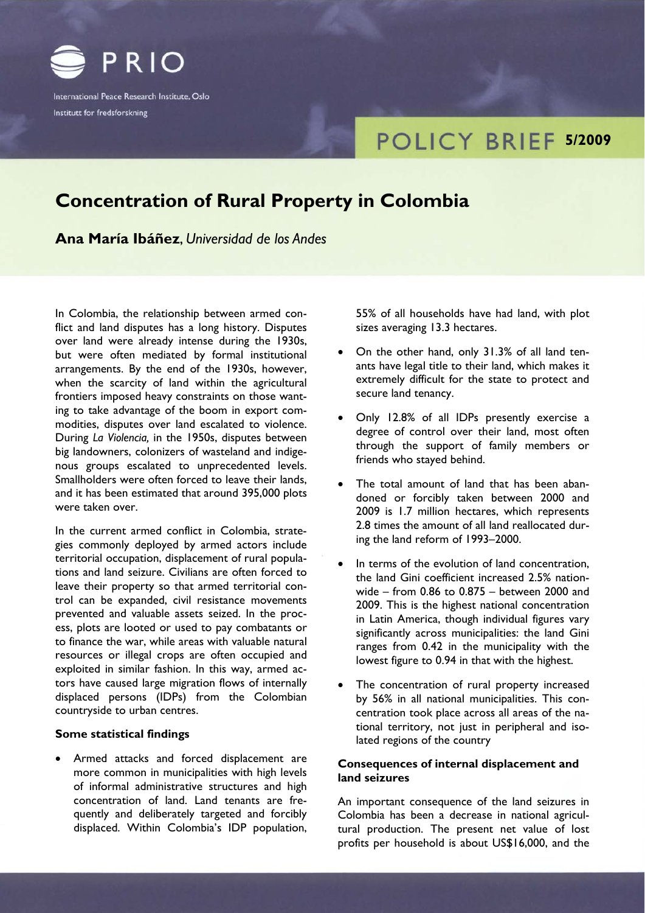

International Peace Research Institute, Oslo Institutt for fredsforskning

# **FOLICY BRIEF 5/2009**

# **Concentration of Rural Property in Colombia**

**Ana María Ibáñez**, *Universidad de los Andes*

In Colombia, the relationship between armed conflict and land disputes has a long history. Disputes over land were already intense during the 1930s, but were often mediated by formal institutional arrangements. By the end of the 1930s, however, when the scarcity of land within the agricultural frontiers imposed heavy constraints on those wanting to take advantage of the boom in export commodities, disputes over land escalated to violence. During *La Violencia,* in the 1950s, disputes between big landowners, colonizers of wasteland and indigenous groups escalated to unprecedented levels. Smallholders were often forced to leave their lands, and it has been estimated that around 395,000 plots were taken over.

In the current armed conflict in Colombia, strategies commonly deployed by armed actors include territorial occupation, displacement of rural populations and land seizure. Civilians are often forced to leave their property so that armed territorial control can be expanded, civil resistance movements prevented and valuable assets seized. In the process, plots are looted or used to pay combatants or to finance the war, while areas with valuable natural resources or illegal crops are often occupied and exploited in similar fashion. In this way, armed actors have caused large migration flows of internally displaced persons (IDPs) from the Colombian countryside to urban centres.

### **Some statistical findings**

• Armed attacks and forced displacement are more common in municipalities with high levels of informal administrative structures and high concentration of land. Land tenants are frequently and deliberately targeted and forcibly displaced. Within Colombia's IDP population,

55% of all households have had land, with plot sizes averaging 13.3 hectares.

- On the other hand, only 31.3% of all land tenants have legal title to their land, which makes it extremely difficult for the state to protect and secure land tenancy.
- Only 12.8% of all IDPs presently exercise a degree of control over their land, most often through the support of family members or friends who stayed behind.
- The total amount of land that has been abandoned or forcibly taken between 2000 and 2009 is 1.7 million hectares, which represents 2.8 times the amount of all land reallocated during the land reform of 1993–2000.
- In terms of the evolution of land concentration, the land Gini coefficient increased 2.5% nationwide – from 0.86 to 0.875 – between 2000 and 2009. This is the highest national concentration in Latin America, though individual figures vary significantly across municipalities: the land Gini ranges from 0.42 in the municipality with the lowest figure to 0.94 in that with the highest.
- The concentration of rural property increased by 56% in all national municipalities. This concentration took place across all areas of the national territory, not just in peripheral and isolated regions of the country

## **Consequences of internal displacement and land seizures**

An important consequence of the land seizures in Colombia has been a decrease in national agricultural production. The present net value of lost profits per household is about US\$16,000, and the